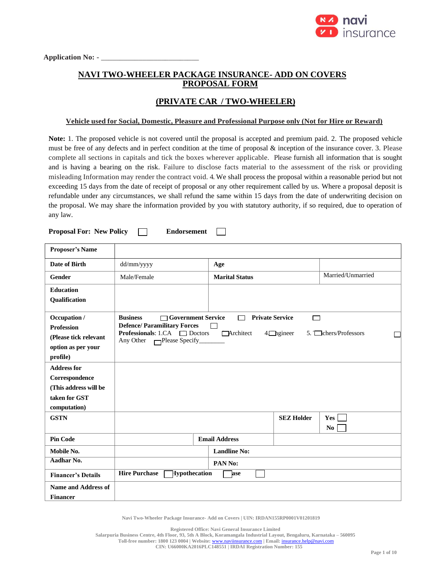

# **NAVI TWO-WHEELER PACKAGE INSURANCE- ADD ON COVERS PROPOSAL FORM**

# **(PRIVATE CAR / TWO-WHEELER)**

#### **Vehicle used for Social, Domestic, Pleasure and Professional Purpose only (Not for Hire or Reward)**

**Note:** 1. The proposed vehicle is not covered until the proposal is accepted and premium paid. 2. The proposed vehicle must be free of any defects and in perfect condition at the time of proposal & inception of the insurance cover. 3. Please complete all sections in capitals and tick the boxes wherever applicable. Please furnish all information that is sought and is having a bearing on the risk. Failure to disclose facts material to the assessment of the risk or providing misleading Information may render the contract void. 4. We shall process the proposal within a reasonable period but not exceeding 15 days from the date of receipt of proposal or any other requirement called by us. Where a proposal deposit is refundable under any circumstances, we shall refund the same within 15 days from the date of underwriting decision on the proposal. We may share the information provided by you with statutory authority, if so required, due to operation of any law.

 $\Box$ 

**Proposal For: New Policy Endorsement**

| <b>Proposer's Name</b>                                                                         |                                                                                                                                                                                                                                                                   |                       |                   |                       |  |  |
|------------------------------------------------------------------------------------------------|-------------------------------------------------------------------------------------------------------------------------------------------------------------------------------------------------------------------------------------------------------------------|-----------------------|-------------------|-----------------------|--|--|
| Date of Birth                                                                                  | dd/mm/yyyy                                                                                                                                                                                                                                                        | Age                   |                   |                       |  |  |
| <b>Gender</b>                                                                                  | Male/Female                                                                                                                                                                                                                                                       | <b>Marital Status</b> |                   | Married/Unmarried     |  |  |
| <b>Education</b><br><b>Qualification</b>                                                       |                                                                                                                                                                                                                                                                   |                       |                   |                       |  |  |
| Occupation /<br><b>Profession</b><br>(Please tick relevant<br>option as per your<br>profile)   | □ Government Service<br><b>Business</b><br><b>Private Service</b><br>┌─┐<br><b>Defence/Paramilitary Forces</b><br><b>Professionals:</b> 1.CA $\Box$ Doctors<br>Architect<br>$4$ $\Box$ ngineer<br>$5.$ $\Box$ chers/Professors<br>Any Other $\Box$ Please Specify |                       |                   |                       |  |  |
| <b>Address for</b><br>Correspondence<br>(This address will be<br>taken for GST<br>computation) |                                                                                                                                                                                                                                                                   |                       |                   |                       |  |  |
| <b>GSTN</b>                                                                                    |                                                                                                                                                                                                                                                                   |                       | <b>SEZ Holder</b> | Yes<br>N <sub>0</sub> |  |  |
| <b>Pin Code</b>                                                                                |                                                                                                                                                                                                                                                                   | <b>Email Address</b>  |                   |                       |  |  |
| Mobile No.                                                                                     |                                                                                                                                                                                                                                                                   | <b>Landline No:</b>   |                   |                       |  |  |
| Aadhar No.                                                                                     |                                                                                                                                                                                                                                                                   | PAN No:               |                   |                       |  |  |
| <b>Financer's Details</b>                                                                      | <b>Hire Purchase</b><br>Hypothecation                                                                                                                                                                                                                             | <b>lase</b>           |                   |                       |  |  |
| <b>Name and Address of</b><br><b>Financer</b>                                                  |                                                                                                                                                                                                                                                                   |                       |                   |                       |  |  |

**Navi Two-Wheeler Package Insurance- Add on Covers | UIN: IRDAN155RP0001V01201819**

**Registered Office: Navi General Insurance Limited**

**Salarpuria Business Centre, 4th Floor, 93, 5th A Block, Koramangala Industrial Layout, Bengaluru, Karnataka – 560095**

**Toll-free number: 1800 123 0004 | Website:** [www.naviinsurance.com](http://www.naviinsurance.com/) **| Email:** [insurance.help@navi.com](mailto:insurance.help@navi.com)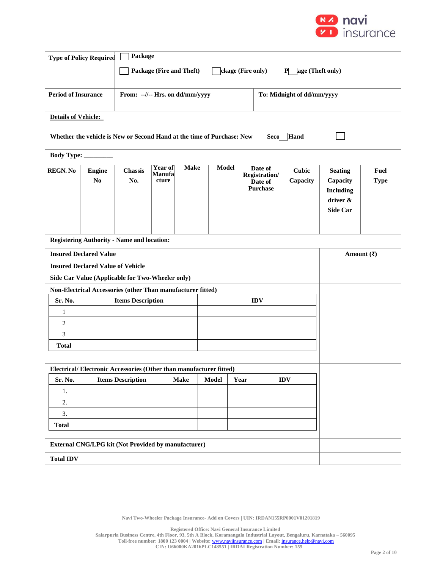

|                                                                    | Package<br><b>Type of Policy Required</b>                                              |                                                             |                                                                        |             |              |      |                          |                            |                                  |             |
|--------------------------------------------------------------------|----------------------------------------------------------------------------------------|-------------------------------------------------------------|------------------------------------------------------------------------|-------------|--------------|------|--------------------------|----------------------------|----------------------------------|-------------|
|                                                                    |                                                                                        |                                                             | Package (Fire and Theft)<br>ckage (Fire only)<br>age (Theft only)<br>P |             |              |      |                          |                            |                                  |             |
|                                                                    |                                                                                        |                                                             |                                                                        |             |              |      |                          |                            |                                  |             |
| <b>Period of Insurance</b>                                         |                                                                                        | From: --//-- Hrs. on dd/mm/yyyy                             |                                                                        |             |              |      |                          | To: Midnight of dd/mm/yyyy |                                  |             |
|                                                                    |                                                                                        |                                                             |                                                                        |             |              |      |                          |                            |                                  |             |
| <b>Details of Vehicle:</b>                                         |                                                                                        |                                                             |                                                                        |             |              |      |                          |                            |                                  |             |
|                                                                    | Hand<br>Whether the vehicle is New or Second Hand at the time of Purchase: New<br>Seco |                                                             |                                                                        |             |              |      |                          |                            |                                  |             |
| <b>Body Type:</b>                                                  |                                                                                        |                                                             |                                                                        |             |              |      |                          |                            |                                  |             |
| <b>REGN. No</b>                                                    | <b>Engine</b>                                                                          | Chassis                                                     | Year of<br>Manufa                                                      | <b>Make</b> | <b>Model</b> |      | Date of                  | <b>Cubic</b>               | <b>Seating</b>                   | Fuel        |
|                                                                    | N <sub>0</sub>                                                                         | No.                                                         | cture                                                                  |             |              |      | Registration/<br>Date of | Capacity                   | Capacity                         | <b>Type</b> |
|                                                                    |                                                                                        |                                                             |                                                                        |             |              |      | <b>Purchase</b>          |                            | <b>Including</b>                 |             |
|                                                                    |                                                                                        |                                                             |                                                                        |             |              |      |                          |                            | driver &<br><b>Side Car</b>      |             |
|                                                                    |                                                                                        |                                                             |                                                                        |             |              |      |                          |                            |                                  |             |
|                                                                    |                                                                                        |                                                             |                                                                        |             |              |      |                          |                            |                                  |             |
|                                                                    |                                                                                        | <b>Registering Authority - Name and location:</b>           |                                                                        |             |              |      |                          |                            |                                  |             |
|                                                                    | <b>Insured Declared Value</b>                                                          |                                                             |                                                                        |             |              |      |                          |                            | Amount $(\overline{\mathbf{x}})$ |             |
|                                                                    | <b>Insured Declared Value of Vehicle</b>                                               |                                                             |                                                                        |             |              |      |                          |                            |                                  |             |
|                                                                    |                                                                                        | Side Car Value (Applicable for Two-Wheeler only)            |                                                                        |             |              |      |                          |                            |                                  |             |
|                                                                    |                                                                                        | Non-Electrical Accessories (other Than manufacturer fitted) |                                                                        |             |              |      |                          |                            |                                  |             |
| Sr. No.<br>1                                                       |                                                                                        | <b>Items Description</b>                                    |                                                                        |             |              |      | <b>IDV</b>               |                            |                                  |             |
| $\overline{c}$                                                     |                                                                                        |                                                             |                                                                        |             |              |      |                          |                            |                                  |             |
| 3                                                                  |                                                                                        |                                                             |                                                                        |             |              |      |                          |                            |                                  |             |
| <b>Total</b>                                                       |                                                                                        |                                                             |                                                                        |             |              |      |                          |                            |                                  |             |
|                                                                    |                                                                                        |                                                             |                                                                        |             |              |      |                          |                            |                                  |             |
| Electrical/Electronic Accessories (Other than manufacturer fitted) |                                                                                        |                                                             |                                                                        |             |              |      |                          |                            |                                  |             |
| Sr. No.                                                            |                                                                                        | <b>Items Description</b>                                    |                                                                        | <b>Make</b> | Model        | Year |                          | $\mathbf{IDV}$             |                                  |             |
| 1.                                                                 |                                                                                        |                                                             |                                                                        |             |              |      |                          |                            |                                  |             |
| 2.                                                                 |                                                                                        |                                                             |                                                                        |             |              |      |                          |                            |                                  |             |
| <b>Total</b>                                                       | 3.                                                                                     |                                                             |                                                                        |             |              |      |                          |                            |                                  |             |
|                                                                    |                                                                                        |                                                             |                                                                        |             |              |      |                          |                            |                                  |             |
| <b>External CNG/LPG kit (Not Provided by manufacturer)</b>         |                                                                                        |                                                             |                                                                        |             |              |      |                          |                            |                                  |             |
| <b>Total IDV</b>                                                   |                                                                                        |                                                             |                                                                        |             |              |      |                          |                            |                                  |             |

**Registered Office: Navi General Insurance Limited Salarpuria Business Centre, 4th Floor, 93, 5th A Block, Koramangala Industrial Layout, Bengaluru, Karnataka – 560095 Toll-free number: 1800 123 0004 | Website:** [www.naviinsurance.com](http://www.naviinsurance.com/) **| Email:** [insurance.help@navi.com](mailto:insurance.help@navi.com) **CIN: U66000KA2016PLC148551 | IRDAI Registration Number: 155**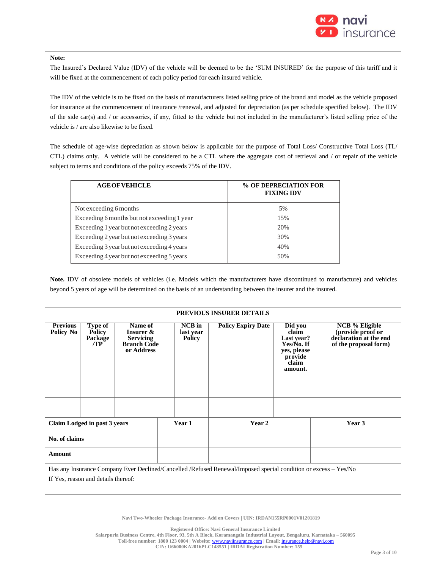

#### **Note:**

The Insured's Declared Value (IDV) of the vehicle will be deemed to be the 'SUM INSURED' for the purpose of this tariff and it will be fixed at the commencement of each policy period for each insured vehicle.

The IDV of the vehicle is to be fixed on the basis of manufacturers listed selling price of the brand and model as the vehicle proposed for insurance at the commencement of insurance /renewal, and adjusted for depreciation (as per schedule specified below). The IDV of the side car(s) and / or accessories, if any, fitted to the vehicle but not included in the manufacturer's listed selling price of the vehicle is / are also likewise to be fixed.

The schedule of age-wise depreciation as shown below is applicable for the purpose of Total Loss/ Constructive Total Loss (TL/ CTL) claims only. A vehicle will be considered to be a CTL where the aggregate cost of retrieval and / or repair of the vehicle subject to terms and conditions of the policy exceeds 75% of the IDV.

| % OF DEPRECIATION FOR<br><b>FIXING IDV</b> |
|--------------------------------------------|
| 5%                                         |
| 15%                                        |
| 20%                                        |
| 30%                                        |
| 40%                                        |
| 50%                                        |
|                                            |

**Note.** IDV of obsolete models of vehicles (i.e. Models which the manufacturers have discontinued to manufacture) and vehicles beyond 5 years of age will be determined on the basis of an understanding between the insurer and the insured.

#### **PREVIOUS INSURER DETAILS**

| <b>Previous</b><br>Policy No                                                                                                                          | Type of<br><b>Policy</b><br>Package<br>/TP | Name of<br>Insurer &<br><b>Servicing</b><br><b>Branch Code</b><br>or Address |        | <b>NCB</b> in<br><b>Policy Expiry Date</b><br>last year<br><b>Policy</b> |  | $\overline{Did}$ you<br>claim<br>Last year?<br>Yes/No. If<br>yes, please<br>provide<br>claim<br>amount. | <b>NCB</b> % Eligible<br>(provide proof or<br>declaration at the end<br>of the proposal form) |
|-------------------------------------------------------------------------------------------------------------------------------------------------------|--------------------------------------------|------------------------------------------------------------------------------|--------|--------------------------------------------------------------------------|--|---------------------------------------------------------------------------------------------------------|-----------------------------------------------------------------------------------------------|
|                                                                                                                                                       |                                            |                                                                              |        |                                                                          |  |                                                                                                         |                                                                                               |
| Claim Lodged in past 3 years                                                                                                                          |                                            |                                                                              | Year 1 | Year 2                                                                   |  | Year 3                                                                                                  |                                                                                               |
| No. of claims                                                                                                                                         |                                            |                                                                              |        |                                                                          |  |                                                                                                         |                                                                                               |
| Amount                                                                                                                                                |                                            |                                                                              |        |                                                                          |  |                                                                                                         |                                                                                               |
| Has any Insurance Company Ever Declined/Cancelled/Refused Renewal/Imposed special condition or excess - Yes/No<br>If Yes, reason and details thereof: |                                            |                                                                              |        |                                                                          |  |                                                                                                         |                                                                                               |

**Navi Two-Wheeler Package Insurance- Add on Covers | UIN: IRDAN155RP0001V01201819**

**Registered Office: Navi General Insurance Limited**

**Salarpuria Business Centre, 4th Floor, 93, 5th A Block, Koramangala Industrial Layout, Bengaluru, Karnataka – 560095**

**Toll-free number: 1800 123 0004 | Website:** [www.naviinsurance.com](http://www.naviinsurance.com/) **| Email:** [insurance.help@navi.com](mailto:insurance.help@navi.com)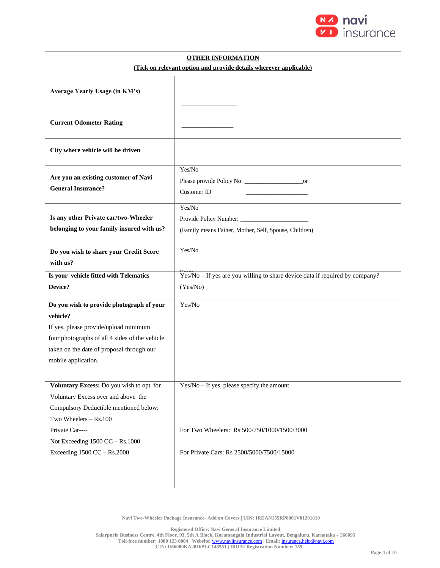

| <b>OTHER INFORMATION</b><br>(Tick on relevant option and provide details wherever applicable) |                                                                              |  |  |  |  |  |
|-----------------------------------------------------------------------------------------------|------------------------------------------------------------------------------|--|--|--|--|--|
|                                                                                               |                                                                              |  |  |  |  |  |
| Average Yearly Usage (in KM's)                                                                |                                                                              |  |  |  |  |  |
| <b>Current Odometer Rating</b>                                                                |                                                                              |  |  |  |  |  |
| City where vehicle will be driven                                                             |                                                                              |  |  |  |  |  |
| Are you an existing customer of Navi<br><b>General Insurance?</b>                             | Yes/No<br><b>Customer ID</b>                                                 |  |  |  |  |  |
| Is any other Private car/two-Wheeler<br>belonging to your family insured with us?             | Yes/No<br>(Family means Father, Mother, Self, Spouse, Children)              |  |  |  |  |  |
| Do you wish to share your Credit Score<br>with us?                                            | Yes/No                                                                       |  |  |  |  |  |
| Is your vehicle fitted with Telematics                                                        | Yes/No - If yes are you willing to share device data if required by company? |  |  |  |  |  |
| Device?                                                                                       | (Yes/No)                                                                     |  |  |  |  |  |
| Do you wish to provide photograph of your                                                     | Yes/No                                                                       |  |  |  |  |  |
| vehicle?                                                                                      |                                                                              |  |  |  |  |  |
| If yes, please provide/upload minimum                                                         |                                                                              |  |  |  |  |  |
| four photographs of all 4 sides of the vehicle                                                |                                                                              |  |  |  |  |  |
| taken on the date of proposal through our                                                     |                                                                              |  |  |  |  |  |
| mobile application.                                                                           |                                                                              |  |  |  |  |  |
|                                                                                               |                                                                              |  |  |  |  |  |
| Voluntary Excess: Do you wish to opt for                                                      | $Yes/No - If yes, please specify the amount$                                 |  |  |  |  |  |
| Voluntary Excess over and above the                                                           |                                                                              |  |  |  |  |  |
| Compulsory Deductible mentioned below:                                                        |                                                                              |  |  |  |  |  |
| Two Wheelers - Rs.100                                                                         |                                                                              |  |  |  |  |  |
| Private Car----                                                                               | For Two Wheelers: Rs 500/750/1000/1500/3000                                  |  |  |  |  |  |
| Not Exceeding 1500 CC - Rs.1000                                                               |                                                                              |  |  |  |  |  |
| Exceeding 1500 CC - Rs.2000                                                                   | For Private Cars: Rs 2500/5000/7500/15000                                    |  |  |  |  |  |
|                                                                                               |                                                                              |  |  |  |  |  |

**Registered Office: Navi General Insurance Limited Salarpuria Business Centre, 4th Floor, 93, 5th A Block, Koramangala Industrial Layout, Bengaluru, Karnataka – 560095 Toll-free number: 1800 123 0004 | Website:** [www.naviinsurance.com](http://www.naviinsurance.com/) **| Email:** [insurance.help@navi.com](mailto:insurance.help@navi.com) **CIN: U66000KA2016PLC148551 | IRDAI Registration Number: 155**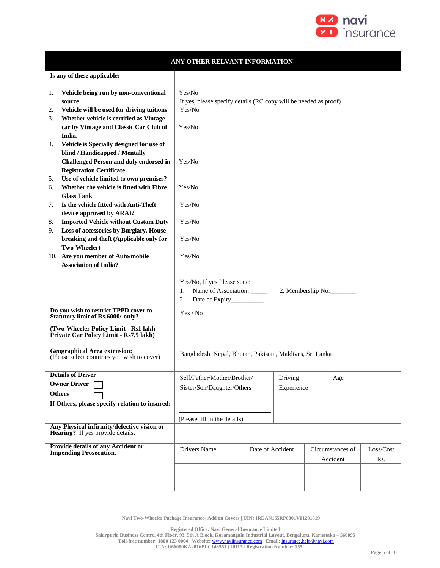

|                                                                                                                                                                                                                       | ANY OTHER RELVANT INFORMATION                                                                  |  |            |  |                              |                  |
|-----------------------------------------------------------------------------------------------------------------------------------------------------------------------------------------------------------------------|------------------------------------------------------------------------------------------------|--|------------|--|------------------------------|------------------|
| Is any of these applicable:                                                                                                                                                                                           |                                                                                                |  |            |  |                              |                  |
| Vehicle being run by non-conventional<br>1.<br>source<br>Vehicle will be used for driving tuitions<br>2.<br>Whether vehicle is certified as Vintage<br>3.<br>car by Vintage and Classic Car Club of<br>India.         | Yes/No<br>If yes, please specify details (RC copy will be needed as proof)<br>Yes/No<br>Yes/No |  |            |  |                              |                  |
| Vehicle is Specially designed for use of<br>4.<br>blind / Handicapped / Mentally<br><b>Challenged Person and duly endorsed in</b><br><b>Registration Certificate</b><br>Use of vehicle limited to own premises?<br>5. | Yes/No                                                                                         |  |            |  |                              |                  |
| Whether the vehicle is fitted with Fibre<br>6.<br><b>Glass Tank</b>                                                                                                                                                   | Yes/No                                                                                         |  |            |  |                              |                  |
| Is the vehicle fitted with Anti-Theft<br>7.<br>device approved by ARAI?                                                                                                                                               | Yes/No                                                                                         |  |            |  |                              |                  |
| <b>Imported Vehicle without Custom Duty</b><br>8.<br>Loss of accessories by Burglary, House<br>9.                                                                                                                     | Yes/No                                                                                         |  |            |  |                              |                  |
| breaking and theft (Applicable only for<br>Two-Wheeler)                                                                                                                                                               | Yes/No                                                                                         |  |            |  |                              |                  |
| 10. Are you member of Auto/mobile<br><b>Association of India?</b>                                                                                                                                                     | Yes/No                                                                                         |  |            |  |                              |                  |
|                                                                                                                                                                                                                       | Yes/No, If yes Please state:<br>Name of Association: _____<br>1.<br>2.                         |  |            |  | 2. Membership No.            |                  |
| Do you wish to restrict TPPD cover to<br><b>Statutory limit of Rs.6000/-only?</b>                                                                                                                                     | Yes / No                                                                                       |  |            |  |                              |                  |
| (Two-Wheeler Policy Limit - Rs1 lakh<br>Private Car Policy Limit - Rs7.5 lakh)                                                                                                                                        |                                                                                                |  |            |  |                              |                  |
| <b>Geographical Area extension:</b><br>(Please select countries you wish to cover)                                                                                                                                    | Bangladesh, Nepal, Bhutan, Pakistan, Maldives, Sri Lanka                                       |  |            |  |                              |                  |
| <b>Details of Driver</b><br><b>Owner Driver</b>                                                                                                                                                                       | Self/Father/Mother/Brother/                                                                    |  | Driving    |  | $_{\rm Age}$                 |                  |
| <b>Others</b>                                                                                                                                                                                                         | Sister/Son/Daughter/Others                                                                     |  | Experience |  |                              |                  |
| If Others, please specify relation to insured:                                                                                                                                                                        |                                                                                                |  |            |  |                              |                  |
| Any Physical infirmity/defective vision or                                                                                                                                                                            | (Please fill in the details)                                                                   |  |            |  |                              |                  |
| <b>Hearing?</b> If yes provide details:                                                                                                                                                                               |                                                                                                |  |            |  |                              |                  |
| Provide details of any Accident or<br><b>Impending Prosecution.</b>                                                                                                                                                   | Drivers Name<br>Date of Accident                                                               |  |            |  | Circumstances of<br>Accident | Loss/Cost<br>Rs. |
|                                                                                                                                                                                                                       |                                                                                                |  |            |  |                              |                  |

**Registered Office: Navi General Insurance Limited**

**Salarpuria Business Centre, 4th Floor, 93, 5th A Block, Koramangala Industrial Layout, Bengaluru, Karnataka – 560095**

**Toll-free number: 1800 123 0004 | Website:** [www.naviinsurance.com](http://www.naviinsurance.com/) **| Email:** [insurance.help@navi.com](mailto:insurance.help@navi.com) **CIN: U66000KA2016PLC148551 | IRDAI Registration Number: 155**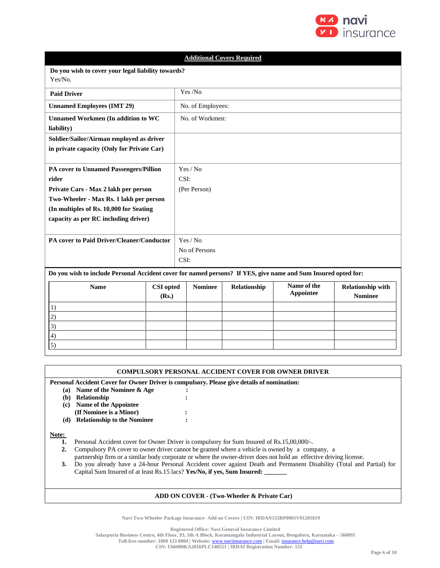

| <b>Additional Covers Required</b>                                                                              |                                                    |               |                   |              |                                 |                                            |  |
|----------------------------------------------------------------------------------------------------------------|----------------------------------------------------|---------------|-------------------|--------------|---------------------------------|--------------------------------------------|--|
| Yes/No.                                                                                                        | Do you wish to cover your legal liability towards? |               |                   |              |                                 |                                            |  |
| <b>Paid Driver</b>                                                                                             |                                                    |               | Yes /No           |              |                                 |                                            |  |
| <b>Unnamed Employees (IMT 29)</b>                                                                              |                                                    |               | No. of Employees: |              |                                 |                                            |  |
| <b>Unnamed Workmen (In addition to WC</b><br>liability)                                                        |                                                    |               | No. of Workmen:   |              |                                 |                                            |  |
| Soldier/Sailor/Airman employed as driver<br>in private capacity (Only for Private Car)                         |                                                    |               |                   |              |                                 |                                            |  |
| PA cover to Unnamed Passengers/Pillion<br>rider                                                                |                                                    | CSI:          | Yes / No          |              |                                 |                                            |  |
| Private Cars - Max 2 lakh per person                                                                           |                                                    |               | (Per Person)      |              |                                 |                                            |  |
| Two-Wheeler - Max Rs. 1 lakh per person                                                                        |                                                    |               |                   |              |                                 |                                            |  |
| (In multiples of Rs. 10,000 for Seating                                                                        |                                                    |               |                   |              |                                 |                                            |  |
| capacity as per RC including driver)                                                                           |                                                    |               |                   |              |                                 |                                            |  |
| PA cover to Paid Driver/Cleaner/Conductor                                                                      |                                                    |               | Yes / No          |              |                                 |                                            |  |
|                                                                                                                |                                                    | No of Persons |                   |              |                                 |                                            |  |
|                                                                                                                |                                                    | CSI:          |                   |              |                                 |                                            |  |
| Do you wish to include Personal Accident cover for named persons? If YES, give name and Sum Insured opted for: |                                                    |               |                   |              |                                 |                                            |  |
| <b>Name</b>                                                                                                    | <b>CSI</b> opted<br>(Rs.)                          |               | <b>Nominee</b>    | Relationship | Name of the<br><b>Appointee</b> | <b>Relationship with</b><br><b>Nominee</b> |  |
| 1)                                                                                                             |                                                    |               |                   |              |                                 |                                            |  |
| 2)                                                                                                             |                                                    |               |                   |              |                                 |                                            |  |
| 3)                                                                                                             |                                                    |               |                   |              |                                 |                                            |  |
| 4)<br>5)                                                                                                       |                                                    |               |                   |              |                                 |                                            |  |
|                                                                                                                |                                                    |               |                   |              |                                 |                                            |  |

|                                                                                                                                                                                                                                                                                                                                                                                                                                                                                                                                                  | <b>COMPULSORY PERSONAL ACCIDENT COVER FOR OWNER DRIVER</b>                                 |  |  |  |  |  |  |
|--------------------------------------------------------------------------------------------------------------------------------------------------------------------------------------------------------------------------------------------------------------------------------------------------------------------------------------------------------------------------------------------------------------------------------------------------------------------------------------------------------------------------------------------------|--------------------------------------------------------------------------------------------|--|--|--|--|--|--|
|                                                                                                                                                                                                                                                                                                                                                                                                                                                                                                                                                  | Personal Accident Cover for Owner Driver is compulsory. Please give details of nomination: |  |  |  |  |  |  |
| (a)                                                                                                                                                                                                                                                                                                                                                                                                                                                                                                                                              | Name of the Nominee & Age                                                                  |  |  |  |  |  |  |
| (b)                                                                                                                                                                                                                                                                                                                                                                                                                                                                                                                                              | Relationship                                                                               |  |  |  |  |  |  |
| $\left( \mathbf{c} \right)$                                                                                                                                                                                                                                                                                                                                                                                                                                                                                                                      | Name of the Appointee                                                                      |  |  |  |  |  |  |
|                                                                                                                                                                                                                                                                                                                                                                                                                                                                                                                                                  | (If Nominee is a Minor)                                                                    |  |  |  |  |  |  |
| (d)                                                                                                                                                                                                                                                                                                                                                                                                                                                                                                                                              | <b>Relationship to the Nominee</b>                                                         |  |  |  |  |  |  |
| Note:<br>Personal Accident cover for Owner Driver is compulsory for Sum Insured of Rs.15,00,000/-.<br>1.<br>Compulsory PA cover to owner driver cannot be granted where a vehicle is owned by a company, a<br>2.<br>partnership firm or a similar body corporate or where the owner-driver does not hold an effective driving license.<br>Do you already have a 24-hour Personal Accident cover against Death and Permanent Disability (Total and Partial) for<br>3.<br>Capital Sum Insured of at least Rs.15 lacs? Yes/No, if yes, Sum Insured: |                                                                                            |  |  |  |  |  |  |
| $\mathbf{u}$ and $\mathbf{u}$ are $\mathbf{u}$ and $\mathbf{u}$ and $\mathbf{u}$ are $\mathbf{u}$ and $\mathbf{v}$ and $\mathbf{v}$ are $\mathbf{v}$ and $\mathbf{v}$ are $\mathbf{v}$ and $\mathbf{v}$ are $\mathbf{v}$ and $\mathbf{v}$ are $\mathbf{v}$ and $\mathbf{v}$ are $\mathbf{v}$ and                                                                                                                                                                                                                                                 |                                                                                            |  |  |  |  |  |  |

### **ADD ON COVER - (Two-Wheeler & Private Car)**

**Navi Two-Wheeler Package Insurance- Add on Covers | UIN: IRDAN155RP0001V01201819**

**Registered Office: Navi General Insurance Limited**

**Salarpuria Business Centre, 4th Floor, 93, 5th A Block, Koramangala Industrial Layout, Bengaluru, Karnataka – 560095**

**Toll-free number: 1800 123 0004 | Website:** [www.naviinsurance.com](http://www.naviinsurance.com/) **| Email:** [insurance.help@navi.com](mailto:insurance.help@navi.com)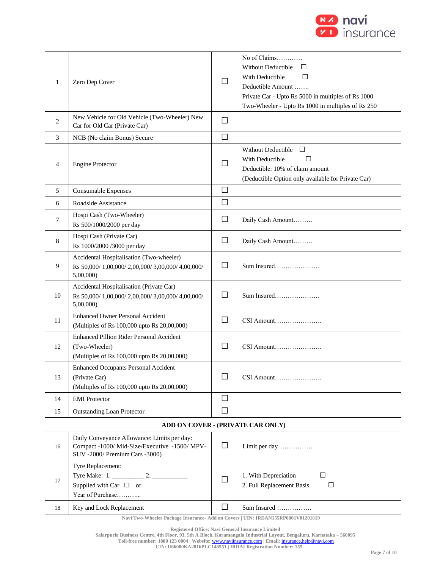

| 1                                 | Zero Dep Cover                                                                                                                 | П      | No of Claims<br><b>Without Deductible</b><br>ப<br>With Deductible<br>П<br>Deductible Amount<br>Private Car - Upto Rs 5000 in multiples of Rs 1000<br>Two-Wheeler - Upto Rs 1000 in multiples of Rs 250 |  |  |  |  |
|-----------------------------------|--------------------------------------------------------------------------------------------------------------------------------|--------|--------------------------------------------------------------------------------------------------------------------------------------------------------------------------------------------------------|--|--|--|--|
| 2                                 | New Vehicle for Old Vehicle (Two-Wheeler) New<br>Car for Old Car (Private Car)                                                 | □      |                                                                                                                                                                                                        |  |  |  |  |
| 3                                 | NCB (No claim Bonus) Secure                                                                                                    | $\Box$ |                                                                                                                                                                                                        |  |  |  |  |
| $\overline{4}$                    | <b>Engine Protector</b>                                                                                                        | ப      | <b>Without Deductible</b><br>П<br>With Deductible<br>П<br>Deductible: 10% of claim amount<br>(Deductible Option only available for Private Car)                                                        |  |  |  |  |
| 5                                 | Consumable Expenses                                                                                                            | $\Box$ |                                                                                                                                                                                                        |  |  |  |  |
| 6                                 | Roadside Assistance                                                                                                            | $\Box$ |                                                                                                                                                                                                        |  |  |  |  |
| 7                                 | Hospi Cash (Two-Wheeler)<br>Rs 500/1000/2000 per day                                                                           | $\Box$ | Daily Cash Amount                                                                                                                                                                                      |  |  |  |  |
| 8                                 | Hospi Cash (Private Car)<br>Rs 1000/2000 /3000 per day                                                                         | $\Box$ | Daily Cash Amount                                                                                                                                                                                      |  |  |  |  |
| 9                                 | Accidental Hospitalisation (Two-wheeler)<br>Rs 50,000/1,00,000/2,00,000/3,00,000/4,00,000/<br>5,00,000                         | $\Box$ | Sum Insured                                                                                                                                                                                            |  |  |  |  |
| 10                                | Accidental Hospitalisation (Private Car)<br>Rs 50,000/ 1,00,000/ 2,00,000/ 3,00,000/ 4,00,000/<br>5,00,000                     | $\Box$ | Sum Insured                                                                                                                                                                                            |  |  |  |  |
| 11                                | <b>Enhanced Owner Personal Accident</b><br>(Multiples of Rs 100,000 upto Rs 20,00,000)                                         | $\Box$ | CSI Amount                                                                                                                                                                                             |  |  |  |  |
| 12                                | Enhanced Pillion Rider Personal Accident<br>(Two-Wheeler)<br>(Multiples of Rs 100,000 upto Rs 20,00,000)                       | П      | CSI Amount                                                                                                                                                                                             |  |  |  |  |
| 13                                | <b>Enhanced Occupants Personal Accident</b><br>(Private Car)<br>(Multiples of Rs 100,000 upto Rs 20,00,000)                    | ⊔      | CSI Amount                                                                                                                                                                                             |  |  |  |  |
| 14                                | <b>EMI</b> Protector                                                                                                           | $\Box$ |                                                                                                                                                                                                        |  |  |  |  |
| 15                                | <b>Outstanding Loan Protector</b>                                                                                              | П      |                                                                                                                                                                                                        |  |  |  |  |
| ADD ON COVER - (PRIVATE CAR ONLY) |                                                                                                                                |        |                                                                                                                                                                                                        |  |  |  |  |
| 16                                | Daily Conveyance Allowance: Limits per day:<br>Compact -1000/ Mid-Size/Executive -1500/ MPV-<br>SUV -2000/ Premium Cars -3000) | $\Box$ | Limit per day                                                                                                                                                                                          |  |  |  |  |
| 17                                | Tyre Replacement:<br>Supplied with Car $\Box$ or<br>Year of Purchase                                                           | $\Box$ | 1. With Depreciation<br>□<br>2. Full Replacement Basis<br>□                                                                                                                                            |  |  |  |  |
| 18                                | Key and Lock Replacement                                                                                                       | $\Box$ | Sum Insured                                                                                                                                                                                            |  |  |  |  |

**Registered Office: Navi General Insurance Limited**

**Salarpuria Business Centre, 4th Floor, 93, 5th A Block, Koramangala Industrial Layout, Bengaluru, Karnataka – 560095**

**Toll-free number: 1800 123 0004 | Website:** [www.naviinsurance.com](http://www.naviinsurance.com/) **| Email:** [insurance.help@navi.com](mailto:insurance.help@navi.com)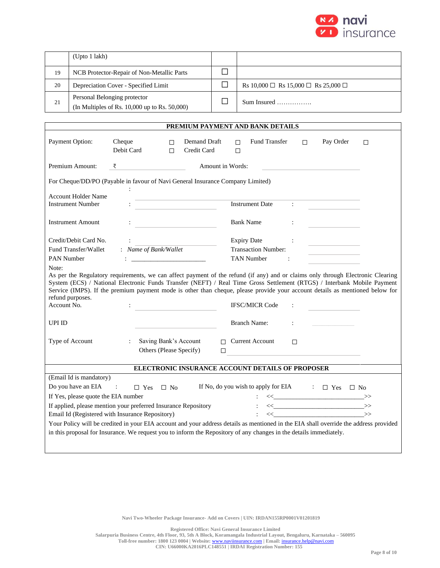

|    | (Upto 1 lakh)                                                                      |                                                    |
|----|------------------------------------------------------------------------------------|----------------------------------------------------|
| 19 | NCB Protector-Repair of Non-Metallic Parts                                         |                                                    |
| 20 | Depreciation Cover - Specified Limit                                               | Rs $10,000 \Box$ Rs $15,000 \Box$ Rs $25,000 \Box$ |
| 21 | Personal Belonging protector<br>(In Multiples of Rs. $10,000$ up to Rs. $50,000$ ) |                                                    |

|                                                                                                                                                                                                                                                                                                                                                                                                                               |                                                                          |                  |                                                                 |                  | PREMIUM PAYMENT AND BANK DETAILS |                               |                                                                                                                                                                                                                                                                                                                                                                                                                                                     |   |
|-------------------------------------------------------------------------------------------------------------------------------------------------------------------------------------------------------------------------------------------------------------------------------------------------------------------------------------------------------------------------------------------------------------------------------|--------------------------------------------------------------------------|------------------|-----------------------------------------------------------------|------------------|----------------------------------|-------------------------------|-----------------------------------------------------------------------------------------------------------------------------------------------------------------------------------------------------------------------------------------------------------------------------------------------------------------------------------------------------------------------------------------------------------------------------------------------------|---|
| Payment Option:                                                                                                                                                                                                                                                                                                                                                                                                               | Cheque<br>Debit Card                                                     | $\Box$<br>$\Box$ | Demand Draft<br>Credit Card                                     | п<br>□           | Fund Transfer                    | П                             | Pay Order                                                                                                                                                                                                                                                                                                                                                                                                                                           | □ |
| Premium Amount:                                                                                                                                                                                                                                                                                                                                                                                                               | ₹                                                                        |                  |                                                                 | Amount in Words: |                                  |                               |                                                                                                                                                                                                                                                                                                                                                                                                                                                     |   |
| For Cheque/DD/PO (Payable in favour of Navi General Insurance Company Limited)                                                                                                                                                                                                                                                                                                                                                |                                                                          |                  |                                                                 |                  |                                  |                               |                                                                                                                                                                                                                                                                                                                                                                                                                                                     |   |
| <b>Account Holder Name</b>                                                                                                                                                                                                                                                                                                                                                                                                    |                                                                          |                  | the control of the control of the control of the control of the |                  |                                  |                               |                                                                                                                                                                                                                                                                                                                                                                                                                                                     |   |
| <b>Instrument Number</b>                                                                                                                                                                                                                                                                                                                                                                                                      |                                                                          |                  |                                                                 |                  | <b>Instrument Date</b>           | $\mathcal{L}^{\mathcal{L}}$ . |                                                                                                                                                                                                                                                                                                                                                                                                                                                     |   |
| <b>Instrument Amount</b>                                                                                                                                                                                                                                                                                                                                                                                                      |                                                                          |                  |                                                                 |                  | <b>Bank Name</b>                 |                               |                                                                                                                                                                                                                                                                                                                                                                                                                                                     |   |
| Credit/Debit Card No.                                                                                                                                                                                                                                                                                                                                                                                                         |                                                                          |                  |                                                                 |                  | <b>Expiry Date</b>               |                               |                                                                                                                                                                                                                                                                                                                                                                                                                                                     |   |
| Fund Transfer/Wallet                                                                                                                                                                                                                                                                                                                                                                                                          | : Name of Bank/Wallet                                                    |                  |                                                                 |                  | <b>Transaction Number:</b>       |                               |                                                                                                                                                                                                                                                                                                                                                                                                                                                     |   |
| <b>PAN Number</b>                                                                                                                                                                                                                                                                                                                                                                                                             |                                                                          |                  |                                                                 |                  | <b>TAN Number</b>                |                               |                                                                                                                                                                                                                                                                                                                                                                                                                                                     |   |
| As per the Regulatory requirements, we can affect payment of the refund (if any) and or claims only through Electronic Clearing<br>System (ECS) / National Electronic Funds Transfer (NEFT) / Real Time Gross Settlement (RTGS) / Interbank Mobile Payment<br>Service (IMPS). If the premium payment mode is other than cheque, please provide your account details as mentioned below for<br>refund purposes.<br>Account No. |                                                                          |                  |                                                                 |                  | <b>IFSC/MICR Code</b>            |                               |                                                                                                                                                                                                                                                                                                                                                                                                                                                     |   |
| UPI ID                                                                                                                                                                                                                                                                                                                                                                                                                        |                                                                          |                  |                                                                 |                  | <b>Branch Name:</b>              |                               |                                                                                                                                                                                                                                                                                                                                                                                                                                                     |   |
| Type of Account                                                                                                                                                                                                                                                                                                                                                                                                               | Saving Bank's Account<br>$\ddot{\phantom{a}}$<br>Others (Please Specify) |                  |                                                                 | П                | $\Box$ Current Account           | П                             |                                                                                                                                                                                                                                                                                                                                                                                                                                                     |   |
| ELECTRONIC INSURANCE ACCOUNT DETAILS OF PROPOSER                                                                                                                                                                                                                                                                                                                                                                              |                                                                          |                  |                                                                 |                  |                                  |                               |                                                                                                                                                                                                                                                                                                                                                                                                                                                     |   |
| (Email Id is mandatory)                                                                                                                                                                                                                                                                                                                                                                                                       |                                                                          |                  |                                                                 |                  |                                  |                               |                                                                                                                                                                                                                                                                                                                                                                                                                                                     |   |
| Do you have an EIA                                                                                                                                                                                                                                                                                                                                                                                                            | $\sim 1000$<br>$\Box$ Yes $\Box$ No                                      |                  |                                                                 |                  |                                  |                               | If No, do you wish to apply for EIA $\Box$ Yes $\Box$ No                                                                                                                                                                                                                                                                                                                                                                                            |   |
| If Yes, please quote the EIA number                                                                                                                                                                                                                                                                                                                                                                                           |                                                                          |                  |                                                                 |                  |                                  |                               | $\iff \qquad \qquad \Longrightarrow$                                                                                                                                                                                                                                                                                                                                                                                                                |   |
| If applied, please mention your preferred Insurance Repository                                                                                                                                                                                                                                                                                                                                                                |                                                                          |                  |                                                                 |                  |                                  |                               | $\left\langle \left\langle \begin{array}{cc} 0 & 0 \\ 0 & 0 \end{array} \right\rangle \right\rangle$                                                                                                                                                                                                                                                                                                                                                |   |
| Email Id (Registered with Insurance Repository)                                                                                                                                                                                                                                                                                                                                                                               |                                                                          |                  |                                                                 |                  |                                  |                               | $\left\langle \!\left\langle \mathbf{1}_{\mathbf{1}_{\mathbf{1}_{\mathbf{1}_{\mathbf{1}}\mathbf{1}_{\mathbf{1}}\mathbf{1}_{\mathbf{1}}\mathbf{1}_{\mathbf{1}}\mathbf{1}_{\mathbf{1}}\mathbf{1}_{\mathbf{1}}\mathbf{1}_{\mathbf{1}}\mathbf{1}_{\mathbf{1}}\mathbf{1}_{\mathbf{1}}\mathbf{1}_{\mathbf{1}}\mathbf{1}_{\mathbf{1}}\mathbf{1}_{\mathbf{1}}\mathbf{1}_{\mathbf{1}}\mathbf{1}_{\mathbf{1}}\mathbf{1}_{\mathbf{1}}\mathbf{1}_{\mathbf{1}}\$ |   |
| Your Policy will be credited in your EIA account and your address details as mentioned in the EIA shall override the address provided                                                                                                                                                                                                                                                                                         |                                                                          |                  |                                                                 |                  |                                  |                               |                                                                                                                                                                                                                                                                                                                                                                                                                                                     |   |
| in this proposal for Insurance. We request you to inform the Repository of any changes in the details immediately.                                                                                                                                                                                                                                                                                                            |                                                                          |                  |                                                                 |                  |                                  |                               |                                                                                                                                                                                                                                                                                                                                                                                                                                                     |   |

**Registered Office: Navi General Insurance Limited**

**Salarpuria Business Centre, 4th Floor, 93, 5th A Block, Koramangala Industrial Layout, Bengaluru, Karnataka – 560095**

**Toll-free number: 1800 123 0004 | Website:** [www.naviinsurance.com](http://www.naviinsurance.com/) **| Email:** [insurance.help@navi.com](mailto:insurance.help@navi.com)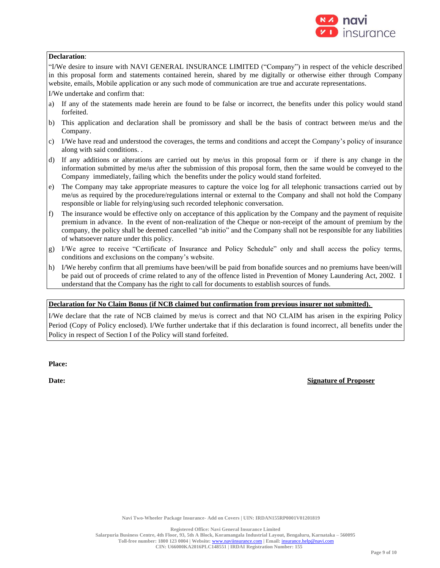

### **Declaration**:

"I/We desire to insure with NAVI GENERAL INSURANCE LIMITED ("Company") in respect of the vehicle described in this proposal form and statements contained herein, shared by me digitally or otherwise either through Company website, emails, Mobile application or any such mode of communication are true and accurate representations.

I/We undertake and confirm that:

- a) If any of the statements made herein are found to be false or incorrect, the benefits under this policy would stand forfeited.
- b) This application and declaration shall be promissory and shall be the basis of contract between me/us and the Company.
- c) I/We have read and understood the coverages, the terms and conditions and accept the Company's policy of insurance along with said conditions. .
- d) If any additions or alterations are carried out by me/us in this proposal form or if there is any change in the information submitted by me/us after the submission of this proposal form, then the same would be conveyed to the Company immediately, failing which the benefits under the policy would stand forfeited.
- e) The Company may take appropriate measures to capture the voice log for all telephonic transactions carried out by me/us as required by the procedure/regulations internal or external to the Company and shall not hold the Company responsible or liable for relying/using such recorded telephonic conversation.
- f) The insurance would be effective only on acceptance of this application by the Company and the payment of requisite premium in advance. In the event of non-realization of the Cheque or non-receipt of the amount of premium by the company, the policy shall be deemed cancelled "ab initio" and the Company shall not be responsible for any liabilities of whatsoever nature under this policy.
- g) I/We agree to receive "Certificate of Insurance and Policy Schedule" only and shall access the policy terms, conditions and exclusions on the company's website.
- h) I/We hereby confirm that all premiums have been/will be paid from bonafide sources and no premiums have been/will be paid out of proceeds of crime related to any of the offence listed in Prevention of Money Laundering Act, 2002. I understand that the Company has the right to call for documents to establish sources of funds.

# **Declaration for No Claim Bonus (if NCB claimed but confirmation from previous insurer not submitted).**

I/We declare that the rate of NCB claimed by me/us is correct and that NO CLAIM has arisen in the expiring Policy Period (Copy of Policy enclosed). I/We further undertake that if this declaration is found incorrect, all benefits under the Policy in respect of Section I of the Policy will stand forfeited.

**Place:**

**Date: Signature of Proposer**